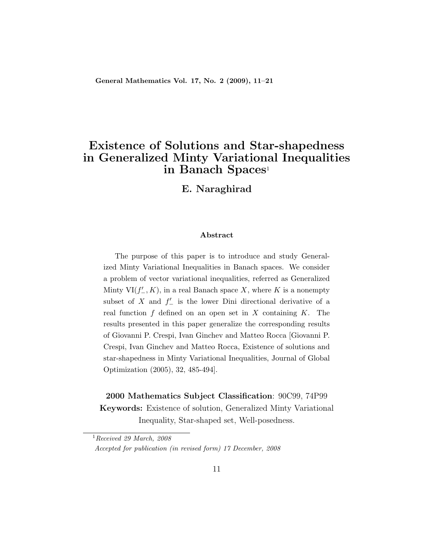General Mathematics Vol. 17, No. 2 (2009), 11–21

## Existence of Solutions and Star-shapedness in Generalized Minty Variational Inequalities in Banach Spaces<sup>1</sup>

E. Naraghirad

#### Abstract

The purpose of this paper is to introduce and study Generalized Minty Variational Inequalities in Banach spaces. We consider a problem of vector variational inequalities, referred as Generalized Minty  $VI(f'_{-}, K)$ , in a real Banach space X, where K is a nonempty subset of X and  $f'$  is the lower Dini directional derivative of a real function  $f$  defined on an open set in  $X$  containing  $K$ . The results presented in this paper generalize the corresponding results of Giovanni P. Crespi, Ivan Ginchev and Matteo Rocca [Giovanni P. Crespi, Ivan Ginchev and Matteo Rocca, Existence of solutions and star-shapedness in Minty Variational Inequalities, Journal of Global Optimization (2005), 32, 485-494].

#### 2000 Mathematics Subject Classification: 90C99, 74P99

Keywords: Existence of solution, Generalized Minty Variational Inequality, Star-shaped set, Well-posedness.

 $1$ Received 29 March, 2008 Accepted for publication (in revised form) 17 December, 2008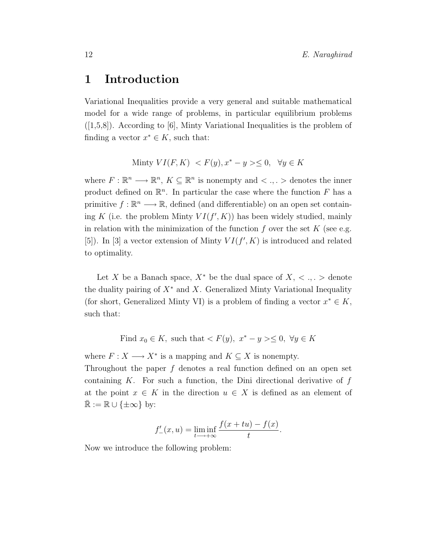### 1 Introduction

Variational Inequalities provide a very general and suitable mathematical model for a wide range of problems, in particular equilibrium problems  $([1,5,8])$ . According to [6], Minty Variational Inequalities is the problem of finding a vector  $x^* \in K$ , such that:

$$
Minty VI(F, K) < F(y), x^* - y > \leq 0, \quad \forall y \in K
$$

where  $F: \mathbb{R}^n \longrightarrow \mathbb{R}^n$ ,  $K \subseteq \mathbb{R}^n$  is nonempty and  $\langle \cdot, \cdot \rangle$  denotes the inner product defined on  $\mathbb{R}^n$ . In particular the case where the function F has a primitive  $f : \mathbb{R}^n \longrightarrow \mathbb{R}$ , defined (and differentiable) on an open set containing K (i.e. the problem Minty  $VI(f', K)$ ) has been widely studied, mainly in relation with the minimization of the function  $f$  over the set  $K$  (see e.g. [5]). In [3] a vector extension of Minty  $VI(f', K)$  is introduced and related to optimality.

Let X be a Banach space,  $X^*$  be the dual space of  $X, \langle , , \rangle$  denote the duality pairing of  $X^*$  and X. Generalized Minty Variational Inequality (for short, Generalized Minty VI) is a problem of finding a vector  $x^* \in K$ , such that:

Find  $x_0 \in K$ , such that  $\lt F(y)$ ,  $x^* - y \gt \leq 0$ ,  $\forall y \in K$ 

where  $F: X \longrightarrow X^*$  is a mapping and  $K \subseteq X$  is nonempty.

Throughout the paper  $f$  denotes a real function defined on an open set containing  $K$ . For such a function, the Dini directional derivative of  $f$ at the point  $x \in K$  in the direction  $u \in X$  is defined as an element of  $\mathbb{R} := \mathbb{R} \cup \{\pm \infty\}$  by:

$$
f'_{-}(x, u) = \liminf_{t \to +\infty} \frac{f(x + tu) - f(x)}{t}.
$$

Now we introduce the following problem: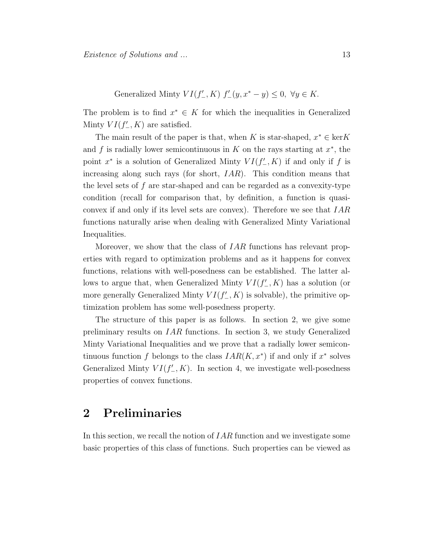Generalized Minty 
$$
VI(f'_-, K)
$$
  $f'_-(y, x^* - y) \leq 0$ ,  $\forall y \in K$ .

The problem is to find  $x^* \in K$  for which the inequalities in Generalized Minty  $VI(f'_{-}, K)$  are satisfied.

The main result of the paper is that, when K is star-shaped,  $x^* \in \text{ker } K$ and f is radially lower semicontinuous in  $K$  on the rays starting at  $x^*$ , the point  $x^*$  is a solution of Generalized Minty  $VI(f'_{-}, K)$  if and only if f is increasing along such rays (for short,  $IAR$ ). This condition means that the level sets of  $f$  are star-shaped and can be regarded as a convexity-type condition (recall for comparison that, by definition, a function is quasiconvex if and only if its level sets are convex). Therefore we see that IAR functions naturally arise when dealing with Generalized Minty Variational Inequalities.

Moreover, we show that the class of *IAR* functions has relevant properties with regard to optimization problems and as it happens for convex functions, relations with well-posedness can be established. The latter allows to argue that, when Generalized Minty  $VI(f'_{-}, K)$  has a solution (or more generally Generalized Minty  $VI(f'_{-}, K)$  is solvable), the primitive optimization problem has some well-posedness property.

The structure of this paper is as follows. In section 2, we give some preliminary results on IAR functions. In section 3, we study Generalized Minty Variational Inequalities and we prove that a radially lower semicontinuous function f belongs to the class  $IAR(K, x^*)$  if and only if  $x^*$  solves Generalized Minty  $VI(f'_{-}, K)$ . In section 4, we investigate well-posedness properties of convex functions.

#### 2 Preliminaries

In this section, we recall the notion of *IAR* function and we investigate some basic properties of this class of functions. Such properties can be viewed as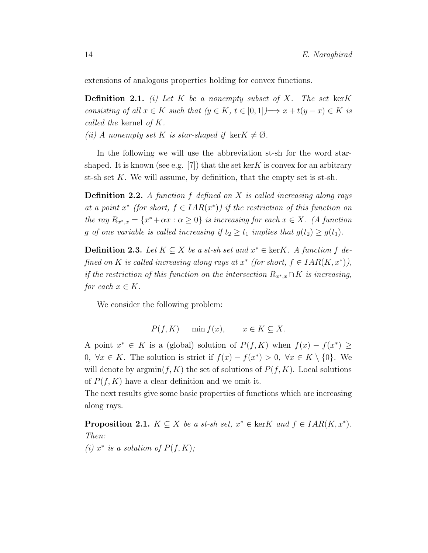extensions of analogous properties holding for convex functions.

**Definition 2.1.** (i) Let K be a nonempty subset of X. The set kerK consisting of all  $x \in K$  such that  $(y \in K, t \in [0,1]) \Longrightarrow x + t(y - x) \in K$  is called the kernel of K.

(ii) A nonempty set K is star-shaped if ker $K \neq \emptyset$ .

In the following we will use the abbreviation st-sh for the word starshaped. It is known (see e.g. [7]) that the set kerK is convex for an arbitrary st-sh set K. We will assume, by definition, that the empty set is st-sh.

**Definition 2.2.** A function f defined on X is called increasing along rays at a point  $x^*$  (for short,  $f \in IAR(x^*)$ ) if the restriction of this function on the ray  $R_{x^*,x} = \{x^* + \alpha x : \alpha \ge 0\}$  is increasing for each  $x \in X$ . (A function g of one variable is called increasing if  $t_2 \geq t_1$  implies that  $g(t_2) \geq g(t_1)$ .

**Definition 2.3.** Let  $K \subseteq X$  be a st-sh set and  $x^* \in \text{ker}K$ . A function f defined on K is called increasing along rays at  $x^*$  (for short,  $f \in IAR(K, x^*)$ ), if the restriction of this function on the intersection  $R_{x^*,x} \cap K$  is increasing, for each  $x \in K$ .

We consider the following problem:

$$
P(f, K) \quad \min f(x), \quad x \in K \subseteq X.
$$

A point  $x^* \in K$  is a (global) solution of  $P(f, K)$  when  $f(x) - f(x^*) \ge$ 0,  $\forall x \in K$ . The solution is strict if  $f(x) - f(x^*) > 0$ ,  $\forall x \in K \setminus \{0\}$ . We will denote by  $\operatorname{argmin}(f, K)$  the set of solutions of  $P(f, K)$ . Local solutions of  $P(f, K)$  have a clear definition and we omit it.

The next results give some basic properties of functions which are increasing along rays.

**Proposition 2.1.**  $K \subseteq X$  be a st-sh set,  $x^* \in \text{ker}K$  and  $f \in IAR(K, x^*)$ . Then: (i)  $x^*$  is a solution of  $P(f, K)$ ;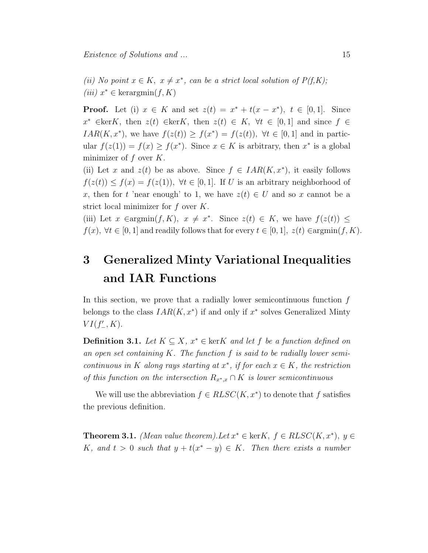(ii) No point  $x \in K$ ,  $x \neq x^*$ , can be a strict local solution of  $P(f,K)$ ; (iii)  $x^* \in \text{kerargmin}(f, K)$ 

**Proof.** Let (i)  $x \in K$  and set  $z(t) = x^* + t(x - x^*)$ ,  $t \in [0, 1]$ . Since  $x^* \in \text{ker}K$ , then  $z(t) \in \text{ker}K$ , then  $z(t) \in K$ ,  $\forall t \in [0,1]$  and since  $f \in$  $IAR(K, x^*)$ , we have  $f(z(t)) \ge f(x^*) = f(z(t))$ ,  $\forall t \in [0, 1]$  and in particular  $f(z(1)) = f(x) \ge f(x^*)$ . Since  $x \in K$  is arbitrary, then  $x^*$  is a global minimizer of  $f$  over  $K$ .

(ii) Let x and  $z(t)$  be as above. Since  $f \in IAR(K, x^*)$ , it easily follows  $f(z(t)) \leq f(x) = f(z(1)), \forall t \in [0,1].$  If U is an arbitrary neighborhood of x, then for t 'near enough' to 1, we have  $z(t) \in U$  and so x cannot be a strict local minimizer for  $f$  over  $K$ .

(iii) Let  $x \in \text{argmin}(f, K)$ ,  $x \neq x^*$ . Since  $z(t) \in K$ , we have  $f(z(t)) \leq$  $f(x), \forall t \in [0,1]$  and readily follows that for every  $t \in [0,1]$ ,  $z(t) \in \text{argmin}(f, K)$ .

# 3 Generalized Minty Variational Inequalities and IAR Functions

In this section, we prove that a radially lower semicontinuous function  $f$ belongs to the class  $IAR(K, x^*)$  if and only if  $x^*$  solves Generalized Minty  $VI(f'_{-}, K)$ .

**Definition 3.1.** Let  $K \subseteq X$ ,  $x^* \in \text{ker}K$  and let f be a function defined on an open set containing  $K$ . The function  $f$  is said to be radially lower semicontinuous in K along rays starting at  $x^*$ , if for each  $x \in K$ , the restriction of this function on the intersection  $R_{x^*,x} \cap K$  is lower semicontinuous

We will use the abbreviation  $f \in R LSC(K, x^*)$  to denote that f satisfies the previous definition.

**Theorem 3.1.** (Mean value theorem). Let  $x^* \in \text{ker}K$ ,  $f \in RLSC(K, x^*)$ ,  $y \in$ K, and  $t > 0$  such that  $y + t(x^* - y) \in K$ . Then there exists a number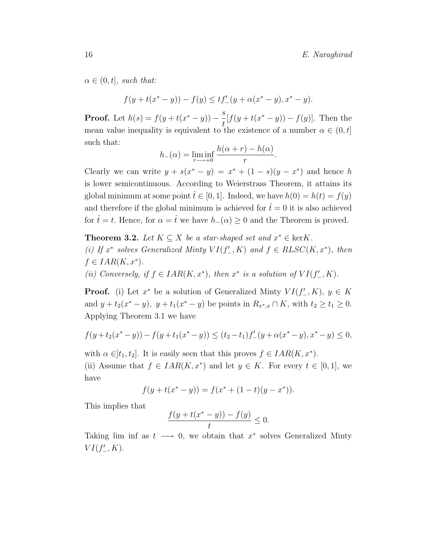$\alpha \in (0, t]$ , such that:

$$
f(y+t(x^*-y))-f(y)\leq tf'_-(y+\alpha(x^*-y),x^*-y).
$$

**Proof.** Let  $h(s) = f(y + t(x^* - y)) - \frac{s}{t}$ t  $[f(y+t(x^* - y)) - f(y)].$  Then the mean value inequality is equivalent to the existence of a number  $\alpha \in (0, t]$ such that:

$$
h_{-}(\alpha) = \liminf_{r \to +0} \frac{h(\alpha + r) - h(\alpha)}{r}.
$$

Clearly we can write  $y + s(x^* - y) = x^* + (1 - s)(y - x^*)$  and hence h is lower semicontinuous. According to Weierstrass Theorem, it attains its global minimum at some point  $\hat{t} \in [0, 1]$ . Indeed, we have  $h(0) = h(t) = f(y)$ and therefore if the global minimum is achieved for  $\hat{t}=0$  it is also achieved for  $\hat{t} = t$ . Hence, for  $\alpha = \hat{t}$  we have  $h_-(\alpha) \geq 0$  and the Theorem is proved.

**Theorem 3.2.** Let  $K \subseteq X$  be a star-shaped set and  $x^* \in \text{ker } K$ . (i) If  $x^*$  solves Generalized Minty  $VI(f'_{-}, K)$  and  $f \in R LSC(K, x^*)$ , then  $f \in IAR(K, x^*)$ .

(ii) Conversely, if  $f \in IAR(K, x^*)$ , then  $x^*$  is a solution of  $VI(f'_{-}, K)$ .

**Proof.** (i) Let  $x^*$  be a solution of Generalized Minty  $VI(f'_{-}, K)$ ,  $y \in K$ and  $y + t_2(x^* - y)$ ,  $y + t_1(x^* - y)$  be points in  $R_{x^*,x} \cap K$ , with  $t_2 \ge t_1 \ge 0$ . Applying Theorem 3.1 we have

$$
f(y+t_2(x^*-y))-f(y+t_1(x^*-y))\leq (t_2-t_1)f'_-(y+\alpha(x^*-y),x^*-y)\leq 0,
$$

with  $\alpha \in ]t_1, t_2]$ . It is easily seen that this proves  $f \in IAR(K, x^*)$ . (ii) Assume that  $f \in IAR(K, x^*)$  and let  $y \in K$ . For every  $t \in [0, 1]$ , we have

$$
f(y + t(x^* - y)) = f(x^* + (1 - t)(y - x^*)).
$$

This implies that

$$
\frac{f(y + t(x^* - y)) - f(y)}{t} \le 0.
$$

Taking lim inf as  $t \longrightarrow 0$ , we obtain that  $x^*$  solves Generalized Minty  $VI(f'_{-}, K)$ .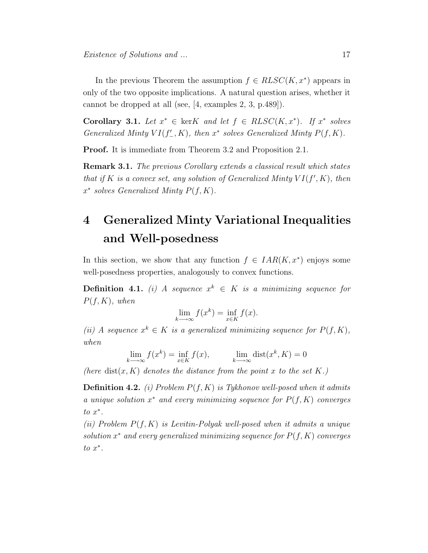In the previous Theorem the assumption  $f \in R LSC(K, x^*)$  appears in only of the two opposite implications. A natural question arises, whether it cannot be dropped at all (see, [4, examples 2, 3, p.489]).

Corollary 3.1. Let  $x^* \in \text{ker}K$  and let  $f \in RLSC(K, x^*)$ . If  $x^*$  solves Generalized Minty  $VI(f'_-, K)$ , then  $x^*$  solves Generalized Minty  $P(f, K)$ .

Proof. It is immediate from Theorem 3.2 and Proposition 2.1.

**Remark 3.1.** The previous Corollary extends a classical result which states that if K is a convex set, any solution of Generalized Minty  $VI(f', K)$ , then  $x^*$  solves Generalized Minty  $P(f, K)$ .

## 4 Generalized Minty Variational Inequalities and Well-posedness

In this section, we show that any function  $f \in IAR(K, x^*)$  enjoys some well-posedness properties, analogously to convex functions.

**Definition 4.1.** (i) A sequence  $x^k \in K$  is a minimizing sequence for  $P(f, K)$ , when

$$
\lim_{k \to \infty} f(x^k) = \inf_{x \in K} f(x).
$$

(ii) A sequence  $x^k \in K$  is a generalized minimizing sequence for  $P(f, K)$ , when

$$
\lim_{k \to \infty} f(x^k) = \inf_{x \in K} f(x), \qquad \lim_{k \to \infty} \text{dist}(x^k, K) = 0
$$

(here dist $(x, K)$  denotes the distance from the point x to the set K.)

**Definition 4.2.** (i) Problem  $P(f, K)$  is Tykhonov well-posed when it admits a unique solution  $x^*$  and every minimizing sequence for  $P(f, K)$  converges  $to x^*$ .

(ii) Problem  $P(f, K)$  is Levitin-Polyak well-posed when it admits a unique solution  $x^*$  and every generalized minimizing sequence for  $P(f, K)$  converges  $to x^*$ .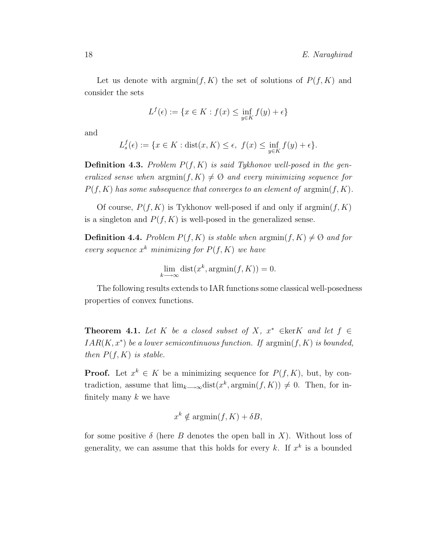Let us denote with  $\operatorname{argmin}(f, K)$  the set of solutions of  $P(f, K)$  and consider the sets

$$
L^f(\epsilon) := \{ x \in K : f(x) \le \inf_{y \in K} f(y) + \epsilon \}
$$

and

$$
L_s^f(\epsilon) := \{ x \in K : \text{dist}(x, K) \le \epsilon, \ f(x) \le \inf_{y \in K} f(y) + \epsilon \}.
$$

**Definition 4.3.** Problem  $P(f, K)$  is said Tykhonov well-posed in the generalized sense when  $\operatorname{argmin}(f, K) \neq \emptyset$  and every minimizing sequence for  $P(f, K)$  has some subsequence that converges to an element of  $\operatorname{argmin}(f, K)$ .

Of course,  $P(f, K)$  is Tykhonov well-posed if and only if  $\argmin(f, K)$ is a singleton and  $P(f, K)$  is well-posed in the generalized sense.

**Definition 4.4.** Problem  $P(f, K)$  is stable when  $\argmin(f, K) \neq \emptyset$  and for every sequence  $x^k$  minimizing for  $P(f, K)$  we have

$$
\lim_{k \to \infty} \text{dist}(x^k, \text{argmin}(f, K)) = 0.
$$

The following results extends to IAR functions some classical well-posedness properties of convex functions.

**Theorem 4.1.** Let K be a closed subset of X,  $x^* \in \text{ker}K$  and let  $f \in$  $IAR(K, x^*)$  be a lower semicontinuous function. If  $\operatorname{argmin}(f, K)$  is bounded, then  $P(f, K)$  is stable.

**Proof.** Let  $x^k \in K$  be a minimizing sequence for  $P(f, K)$ , but, by contradiction, assume that  $\lim_{k\to\infty} dist(x^k, \text{argmin}(f, K)) \neq 0$ . Then, for infinitely many  $k$  we have

$$
x^k \notin \operatorname{argmin}(f, K) + \delta B,
$$

for some positive  $\delta$  (here B denotes the open ball in X). Without loss of generality, we can assume that this holds for every k. If  $x^k$  is a bounded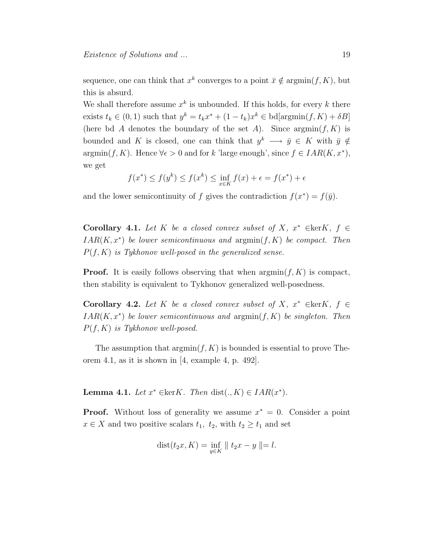sequence, one can think that  $x^k$  converges to a point  $\bar{x} \notin \text{argmin}(f, K)$ , but this is absurd.

We shall therefore assume  $x^k$  is unbounded. If this holds, for every k there exists  $t_k \in (0,1)$  such that  $y^k = t_k x^* + (1 - t_k)x^k \in \text{bd}[\text{argmin}(f, K) + \delta B]$ (here bd A denotes the boundary of the set A). Since  $\operatorname{argmin}(f, K)$  is bounded and K is closed, one can think that  $y^k \longrightarrow \bar{y} \in K$  with  $\bar{y} \notin$  $argmin(f, K)$ . Hence  $\forall \epsilon > 0$  and for k 'large enough', since  $f \in IAR(K, x^*)$ , we get

$$
f(x^*) \le f(y^k) \le f(x^k) \le \inf_{x \in K} f(x) + \epsilon = f(x^*) + \epsilon
$$

and the lower semicontinuity of f gives the contradiction  $f(x^*) = f(\bar{y})$ .

Corollary 4.1. Let K be a closed convex subset of X,  $x^* \in \text{ker}K$ ,  $f \in$  $IAR(K, x^*)$  be lower semicontinuous and  $argmin(f, K)$  be compact. Then  $P(f, K)$  is Tykhonov well-posed in the generalized sense.

**Proof.** It is easily follows observing that when  $\operatorname{argmin}(f, K)$  is compact, then stability is equivalent to Tykhonov generalized well-posedness.

Corollary 4.2. Let K be a closed convex subset of X,  $x^* \in \text{ker}K$ ,  $f \in$  $IAR(K, x^*)$  be lower semicontinuous and  $\operatorname{argmin}(f, K)$  be singleton. Then  $P(f, K)$  is Tykhonov well-posed.

The assumption that  $\operatorname{argmin}(f, K)$  is bounded is essential to prove Theorem 4.1, as it is shown in [4, example 4, p. 492].

**Lemma 4.1.** Let  $x^* \in \text{ker}K$ . Then  $\text{dist}(., K) \in IAR(x^*)$ .

**Proof.** Without loss of generality we assume  $x^* = 0$ . Consider a point  $x \in X$  and two positive scalars  $t_1$ ,  $t_2$ , with  $t_2 \ge t_1$  and set

$$
dist(t_2x, K) = \inf_{y \in K} || t_2x - y || = l.
$$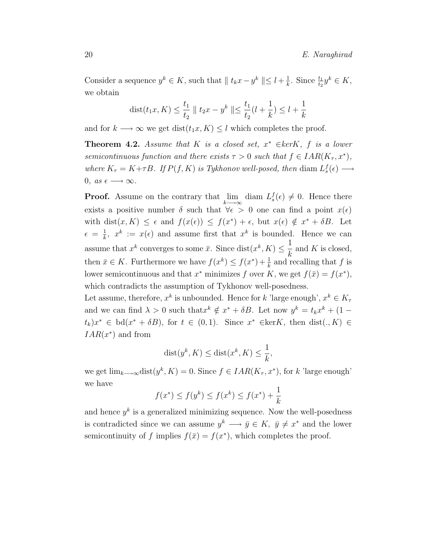Consider a sequence  $y^k \in K$ , such that  $|| t_k x - y^k || \leq l + \frac{1}{k}$  $\frac{1}{k}$ . Since  $\frac{t_1}{t_2}y^k \in K$ , we obtain

$$
dist(t_1x, K) \le \frac{t_1}{t_2} \parallel t_2x - y^k \parallel \le \frac{t_1}{t_2}(l + \frac{1}{k}) \le l + \frac{1}{k}
$$

and for  $k \longrightarrow \infty$  we get  $dist(t_1x, K) \leq l$  which completes the proof.

**Theorem 4.2.** Assume that K is a closed set,  $x^* \in \text{kerK}$ , f is a lower semicontinuous function and there exists  $\tau > 0$  such that  $f \in IAR(K_{\tau}, x^*)$ , where  $K_{\tau} = K + \tau B$ . If  $P(f, K)$  is Tykhonov well-posed, then diam  $L_s^f(\epsilon) \longrightarrow$ 0, as  $\epsilon \longrightarrow \infty$ .

**Proof.** Assume on the contrary that  $\lim_{k \to \infty}$  diam  $L_s^f(\epsilon) \neq 0$ . Hence there exists a positive number  $\delta$  such that  $\forall \epsilon > 0$  one can find a point  $x(\epsilon)$ with dist $(x, K) \leq \epsilon$  and  $f(x(\epsilon)) \leq f(x^*) + \epsilon$ , but  $x(\epsilon) \notin x^* + \delta B$ . Let  $\epsilon = \frac{1}{k}$  $\frac{1}{k}$ ,  $x^k := x(\epsilon)$  and assume first that  $x^k$  is bounded. Hence we can assume that  $x^k$  converges to some  $\bar{x}$ . Since  $dist(x^k, K) \leq$ 1 k and  $K$  is closed, then  $\bar{x} \in K$ . Furthermore we have  $f(x^k) \leq f(x^*) + \frac{1}{k}$  and recalling that f is lower semicontinuous and that  $x^*$  minimizes f over K, we get  $f(\bar{x}) = f(x^*)$ , which contradicts the assumption of Tykhonov well-posedness.

Let assume, therefore,  $x^k$  is unbounded. Hence for k 'large enough',  $x^k \in K_{\tau}$ and we can find  $\lambda > 0$  such that  $x^k \notin x^* + \delta B$ . Let now  $y^k = t_k x^k + (1 (t_k)x^* \in \mathrm{bd}(x^* + \delta B)$ , for  $t \in (0,1)$ . Since  $x^* \in \mathrm{ker} K$ , then  $\mathrm{dist}(., K) \in$  $IAR(x^*)$  and from

$$
dist(y^k, K) \leq dist(x^k, K) \leq \frac{1}{k},
$$

we get  $\lim_{k\to\infty} dist(y^k, K) = 0$ . Since  $f \in IAR(K_{\tau}, x^*)$ , for k 'large enough' we have

$$
f(x^*) \le f(y^k) \le f(x^k) \le f(x^*) + \frac{1}{k}
$$

and hence  $y^k$  is a generalized minimizing sequence. Now the well-posedness is contradicted since we can assume  $y^k \longrightarrow \bar{y} \in K$ ,  $\bar{y} \neq x^*$  and the lower semicontinuity of f implies  $f(\bar{x}) = f(x^*)$ , which completes the proof.